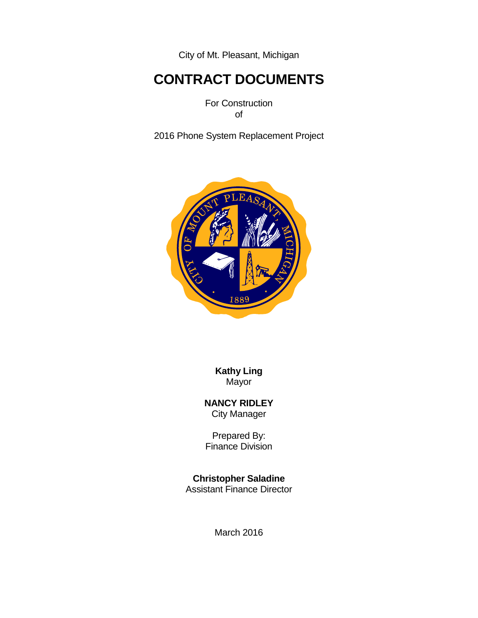City of Mt. Pleasant, Michigan

# **CONTRACT DOCUMENTS**

For Construction of

2016 Phone System Replacement Project



**Kathy Ling** Mayor

**NANCY RIDLEY** City Manager

Prepared By: Finance Division

**Christopher Saladine**

Assistant Finance Director

March 2016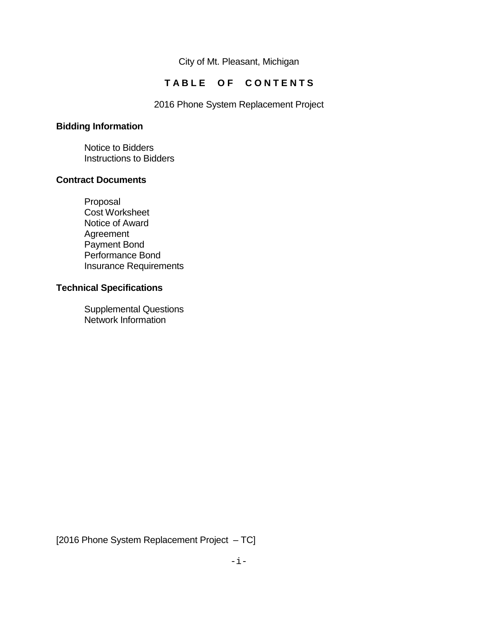City of Mt. Pleasant, Michigan

# TABLE OF CONTENTS

2016 Phone System Replacement Project

# **Bidding Information**

Notice to Bidders Instructions to Bidders

## **Contract Documents**

Proposal Cost Worksheet Notice of Award Agreement Payment Bond Performance Bond Insurance Requirements

## **Technical Specifications**

Supplemental Questions Network Information

[2016 Phone System Replacement Project – TC]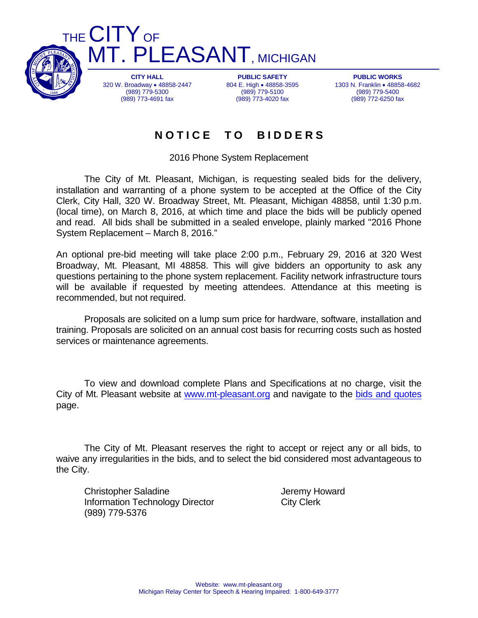

THE **CITY** OF T. PLEASANT, MICHIGAN

> **CITY HALL** 320 W. Broadway • 48858-2447 (989) 779-5300 (989) 773-4691 fax

**PUBLIC SAFETY** 804 E. High • 48858-3595 (989) 779-5100 (989) 773-4020 fax

**PUBLIC WORKS** 1303 N. Franklin • 48858-4682 (989) 779-5400 (989) 772-6250 fax

# **N O T I C E T O B I D D E R S**

2016 Phone System Replacement

The City of Mt. Pleasant, Michigan, is requesting sealed bids for the delivery, installation and warranting of a phone system to be accepted at the Office of the City Clerk, City Hall, 320 W. Broadway Street, Mt. Pleasant, Michigan 48858, until 1:30 p.m. (local time), on March 8, 2016, at which time and place the bids will be publicly opened and read. All bids shall be submitted in a sealed envelope, plainly marked "2016 Phone System Replacement – March 8, 2016."

An optional pre-bid meeting will take place 2:00 p.m., February 29, 2016 at 320 West Broadway, Mt. Pleasant, MI 48858. This will give bidders an opportunity to ask any questions pertaining to the phone system replacement. Facility network infrastructure tours will be available if requested by meeting attendees. Attendance at this meeting is recommended, but not required.

Proposals are solicited on a lump sum price for hardware, software, installation and training. Proposals are solicited on an annual cost basis for recurring costs such as hosted services or maintenance agreements.

To view and download complete Plans and Specifications at no charge, visit the City of Mt. Pleasant website at [www.mt-pleasant.org](http://www.mt-pleasant.org/) and navigate to the [bids and quotes](http://www.mt-pleasant.org/departments/division_of_admin_and_financial_services/finance/bids_and_quotes.asp) page.

The City of Mt. Pleasant reserves the right to accept or reject any or all bids, to waive any irregularities in the bids, and to select the bid considered most advantageous to the City.

Christopher Saladine **Grays** Jeremy Howard Information Technology Director City Clerk (989) 779-5376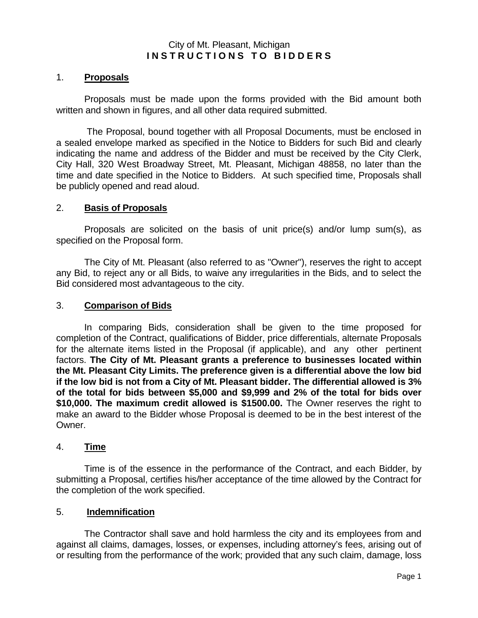## City of Mt. Pleasant, Michigan **I N S T R U C T I O N S T O B I D D E R S**

## 1. **Proposals**

Proposals must be made upon the forms provided with the Bid amount both written and shown in figures, and all other data required submitted.

The Proposal, bound together with all Proposal Documents, must be enclosed in a sealed envelope marked as specified in the Notice to Bidders for such Bid and clearly indicating the name and address of the Bidder and must be received by the City Clerk, City Hall, 320 West Broadway Street, Mt. Pleasant, Michigan 48858, no later than the time and date specified in the Notice to Bidders. At such specified time, Proposals shall be publicly opened and read aloud.

## 2. **Basis of Proposals**

Proposals are solicited on the basis of unit price(s) and/or lump sum(s), as specified on the Proposal form.

The City of Mt. Pleasant (also referred to as "Owner"), reserves the right to accept any Bid, to reject any or all Bids, to waive any irregularities in the Bids, and to select the Bid considered most advantageous to the city.

## 3. **Comparison of Bids**

In comparing Bids, consideration shall be given to the time proposed for completion of the Contract, qualifications of Bidder, price differentials, alternate Proposals for the alternate items listed in the Proposal (if applicable), and any other pertinent factors. **The City of Mt. Pleasant grants a preference to businesses located within the Mt. Pleasant City Limits. The preference given is a differential above the low bid if the low bid is not from a City of Mt. Pleasant bidder. The differential allowed is 3% of the total for bids between \$5,000 and \$9,999 and 2% of the total for bids over \$10,000. The maximum credit allowed is \$1500.00.** The Owner reserves the right to make an award to the Bidder whose Proposal is deemed to be in the best interest of the Owner.

## 4. **Time**

Time is of the essence in the performance of the Contract, and each Bidder, by submitting a Proposal, certifies his/her acceptance of the time allowed by the Contract for the completion of the work specified.

## 5. **Indemnification**

The Contractor shall save and hold harmless the city and its employees from and against all claims, damages, losses, or expenses, including attorney's fees, arising out of or resulting from the performance of the work; provided that any such claim, damage, loss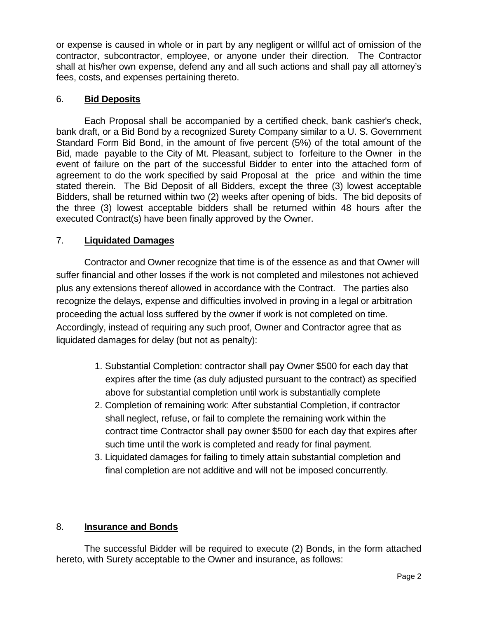or expense is caused in whole or in part by any negligent or willful act of omission of the contractor, subcontractor, employee, or anyone under their direction. The Contractor shall at his/her own expense, defend any and all such actions and shall pay all attorney's fees, costs, and expenses pertaining thereto.

## 6. **Bid Deposits**

Each Proposal shall be accompanied by a certified check, bank cashier's check, bank draft, or a Bid Bond by a recognized Surety Company similar to a U. S. Government Standard Form Bid Bond, in the amount of five percent (5%) of the total amount of the Bid, made payable to the City of Mt. Pleasant, subject to forfeiture to the Owner in the event of failure on the part of the successful Bidder to enter into the attached form of agreement to do the work specified by said Proposal at the price and within the time stated therein. The Bid Deposit of all Bidders, except the three (3) lowest acceptable Bidders, shall be returned within two (2) weeks after opening of bids. The bid deposits of the three (3) lowest acceptable bidders shall be returned within 48 hours after the executed Contract(s) have been finally approved by the Owner.

## 7. **Liquidated Damages**

Contractor and Owner recognize that time is of the essence as and that Owner will suffer financial and other losses if the work is not completed and milestones not achieved plus any extensions thereof allowed in accordance with the Contract. The parties also recognize the delays, expense and difficulties involved in proving in a legal or arbitration proceeding the actual loss suffered by the owner if work is not completed on time. Accordingly, instead of requiring any such proof, Owner and Contractor agree that as liquidated damages for delay (but not as penalty):

- 1. Substantial Completion: contractor shall pay Owner \$500 for each day that expires after the time (as duly adjusted pursuant to the contract) as specified above for substantial completion until work is substantially complete
- 2. Completion of remaining work: After substantial Completion, if contractor shall neglect, refuse, or fail to complete the remaining work within the contract time Contractor shall pay owner \$500 for each day that expires after such time until the work is completed and ready for final payment.
- 3. Liquidated damages for failing to timely attain substantial completion and final completion are not additive and will not be imposed concurrently.

# 8. **Insurance and Bonds**

The successful Bidder will be required to execute (2) Bonds, in the form attached hereto, with Surety acceptable to the Owner and insurance, as follows: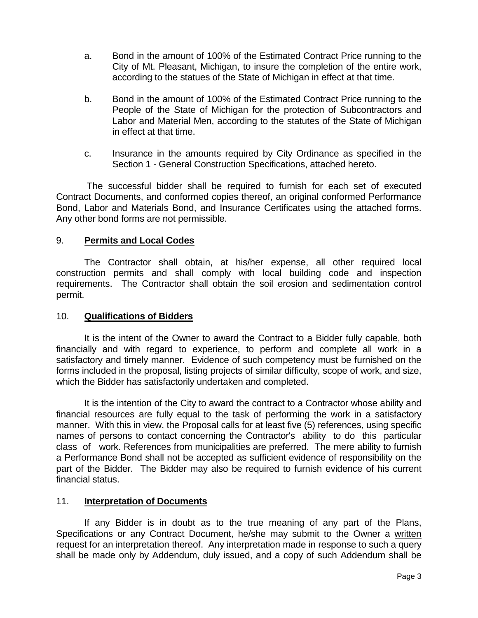- a. Bond in the amount of 100% of the Estimated Contract Price running to the City of Mt. Pleasant, Michigan, to insure the completion of the entire work, according to the statues of the State of Michigan in effect at that time.
- b. Bond in the amount of 100% of the Estimated Contract Price running to the People of the State of Michigan for the protection of Subcontractors and Labor and Material Men, according to the statutes of the State of Michigan in effect at that time.
- c. Insurance in the amounts required by City Ordinance as specified in the Section 1 - General Construction Specifications, attached hereto.

The successful bidder shall be required to furnish for each set of executed Contract Documents, and conformed copies thereof, an original conformed Performance Bond, Labor and Materials Bond, and Insurance Certificates using the attached forms. Any other bond forms are not permissible.

## 9. **Permits and Local Codes**

The Contractor shall obtain, at his/her expense, all other required local construction permits and shall comply with local building code and inspection requirements. The Contractor shall obtain the soil erosion and sedimentation control permit.

## 10. **Qualifications of Bidders**

It is the intent of the Owner to award the Contract to a Bidder fully capable, both financially and with regard to experience, to perform and complete all work in a satisfactory and timely manner. Evidence of such competency must be furnished on the forms included in the proposal, listing projects of similar difficulty, scope of work, and size, which the Bidder has satisfactorily undertaken and completed.

It is the intention of the City to award the contract to a Contractor whose ability and financial resources are fully equal to the task of performing the work in a satisfactory manner. With this in view, the Proposal calls for at least five (5) references, using specific names of persons to contact concerning the Contractor's ability to do this particular class of work. References from municipalities are preferred. The mere ability to furnish a Performance Bond shall not be accepted as sufficient evidence of responsibility on the part of the Bidder. The Bidder may also be required to furnish evidence of his current financial status.

## 11. **Interpretation of Documents**

If any Bidder is in doubt as to the true meaning of any part of the Plans, Specifications or any Contract Document, he/she may submit to the Owner a written request for an interpretation thereof. Any interpretation made in response to such a query shall be made only by Addendum, duly issued, and a copy of such Addendum shall be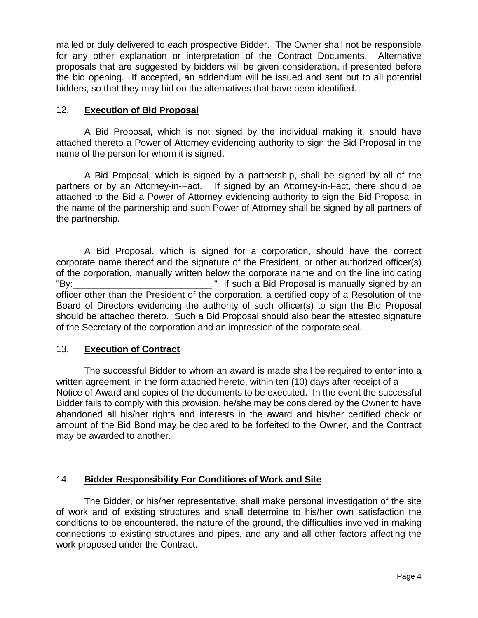mailed or duly delivered to each prospective Bidder. The Owner shall not be responsible for any other explanation or interpretation of the Contract Documents. Alternative proposals that are suggested by bidders will be given consideration, if presented before the bid opening. If accepted, an addendum will be issued and sent out to all potential bidders, so that they may bid on the alternatives that have been identified.

## 12. **Execution of Bid Proposal**

A Bid Proposal, which is not signed by the individual making it, should have attached thereto a Power of Attorney evidencing authority to sign the Bid Proposal in the name of the person for whom it is signed.

A Bid Proposal, which is signed by a partnership, shall be signed by all of the partners or by an Attorney-in-Fact. If signed by an Attorney-in-Fact, there should be attached to the Bid a Power of Attorney evidencing authority to sign the Bid Proposal in the name of the partnership and such Power of Attorney shall be signed by all partners of the partnership.

A Bid Proposal, which is signed for a corporation, should have the correct corporate name thereof and the signature of the President, or other authorized officer(s) of the corporation, manually written below the corporate name and on the line indicating "By:\_\_\_\_\_\_\_\_\_\_\_\_\_\_\_\_\_\_\_\_\_\_\_\_\_\_\_." If such a Bid Proposal is manually signed by an officer other than the President of the corporation, a certified copy of a Resolution of the Board of Directors evidencing the authority of such officer(s) to sign the Bid Proposal should be attached thereto. Such a Bid Proposal should also bear the attested signature of the Secretary of the corporation and an impression of the corporate seal.

## 13. **Execution of Contract**

The successful Bidder to whom an award is made shall be required to enter into a written agreement, in the form attached hereto, within ten (10) days after receipt of a Notice of Award and copies of the documents to be executed. In the event the successful Bidder fails to comply with this provision, he/she may be considered by the Owner to have abandoned all his/her rights and interests in the award and his/her certified check or amount of the Bid Bond may be declared to be forfeited to the Owner, and the Contract may be awarded to another.

## 14. **Bidder Responsibility For Conditions of Work and Site**

The Bidder, or his/her representative, shall make personal investigation of the site of work and of existing structures and shall determine to his/her own satisfaction the conditions to be encountered, the nature of the ground, the difficulties involved in making connections to existing structures and pipes, and any and all other factors affecting the work proposed under the Contract.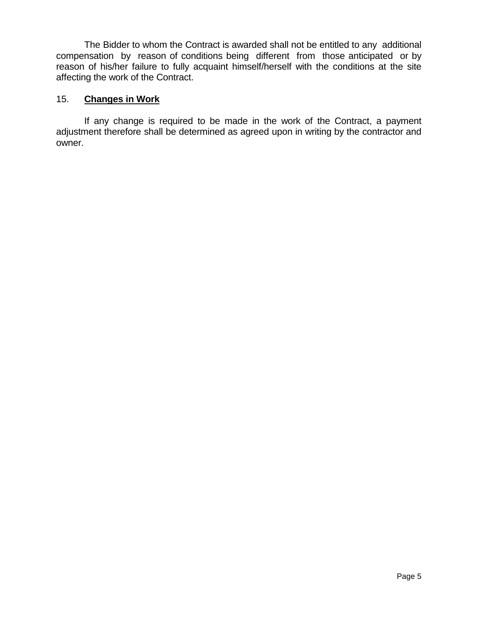The Bidder to whom the Contract is awarded shall not be entitled to any additional compensation by reason of conditions being different from those anticipated or by reason of his/her failure to fully acquaint himself/herself with the conditions at the site affecting the work of the Contract.

## 15. **Changes in Work**

If any change is required to be made in the work of the Contract, a payment adjustment therefore shall be determined as agreed upon in writing by the contractor and owner.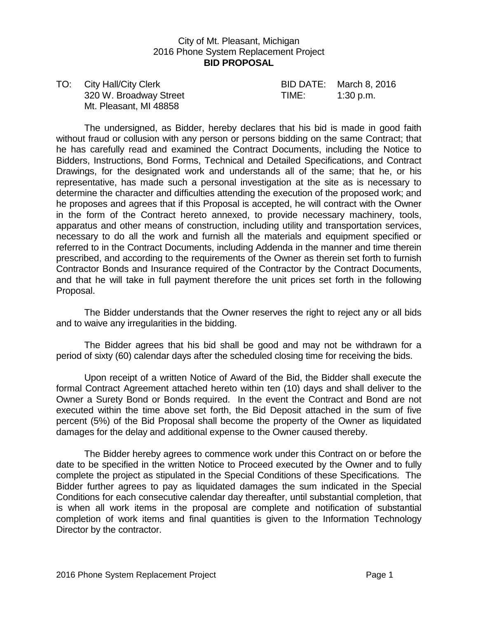## City of Mt. Pleasant, Michigan 2016 Phone System Replacement Project **BID PROPOSAL**

TO: City Hall/City Clerk BID DATE: March 8, 2016 320 W. Broadway Street TIME: 1:30 p.m. Mt. Pleasant, MI 48858

The undersigned, as Bidder, hereby declares that his bid is made in good faith without fraud or collusion with any person or persons bidding on the same Contract; that he has carefully read and examined the Contract Documents, including the Notice to Bidders, Instructions, Bond Forms, Technical and Detailed Specifications, and Contract Drawings, for the designated work and understands all of the same; that he, or his representative, has made such a personal investigation at the site as is necessary to determine the character and difficulties attending the execution of the proposed work; and he proposes and agrees that if this Proposal is accepted, he will contract with the Owner in the form of the Contract hereto annexed, to provide necessary machinery, tools, apparatus and other means of construction, including utility and transportation services, necessary to do all the work and furnish all the materials and equipment specified or referred to in the Contract Documents, including Addenda in the manner and time therein prescribed, and according to the requirements of the Owner as therein set forth to furnish Contractor Bonds and Insurance required of the Contractor by the Contract Documents, and that he will take in full payment therefore the unit prices set forth in the following Proposal.

The Bidder understands that the Owner reserves the right to reject any or all bids and to waive any irregularities in the bidding.

The Bidder agrees that his bid shall be good and may not be withdrawn for a period of sixty (60) calendar days after the scheduled closing time for receiving the bids.

Upon receipt of a written Notice of Award of the Bid, the Bidder shall execute the formal Contract Agreement attached hereto within ten (10) days and shall deliver to the Owner a Surety Bond or Bonds required. In the event the Contract and Bond are not executed within the time above set forth, the Bid Deposit attached in the sum of five percent (5%) of the Bid Proposal shall become the property of the Owner as liquidated damages for the delay and additional expense to the Owner caused thereby.

The Bidder hereby agrees to commence work under this Contract on or before the date to be specified in the written Notice to Proceed executed by the Owner and to fully complete the project as stipulated in the Special Conditions of these Specifications. The Bidder further agrees to pay as liquidated damages the sum indicated in the Special Conditions for each consecutive calendar day thereafter, until substantial completion, that is when all work items in the proposal are complete and notification of substantial completion of work items and final quantities is given to the Information Technology Director by the contractor.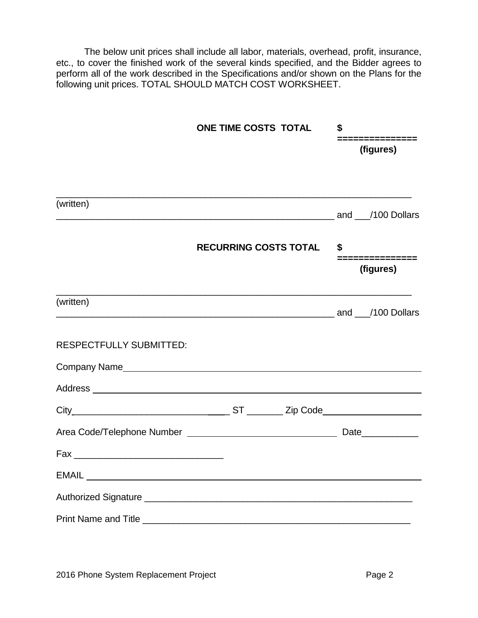The below unit prices shall include all labor, materials, overhead, profit, insurance, etc., to cover the finished work of the several kinds specified, and the Bidder agrees to perform all of the work described in the Specifications and/or shown on the Plans for the following unit prices. TOTAL SHOULD MATCH COST WORKSHEET.

|                                | ONE TIME COSTS TOTAL                                                                                                                                                                                                           | \$                          |  |  |
|--------------------------------|--------------------------------------------------------------------------------------------------------------------------------------------------------------------------------------------------------------------------------|-----------------------------|--|--|
|                                |                                                                                                                                                                                                                                | .=============<br>(figures) |  |  |
|                                |                                                                                                                                                                                                                                |                             |  |  |
| (written)                      | and 100 Dollars and 100 Dollars and 100 Dollars and 100 Dollars and 100 Dollars and 100 Dollars and 100 Dollars                                                                                                                |                             |  |  |
|                                | <b>RECURRING COSTS TOTAL</b>                                                                                                                                                                                                   | \$<br>===============       |  |  |
|                                |                                                                                                                                                                                                                                | (figures)                   |  |  |
| (written)                      | and 100 Dollars and 100 Dollars and 100 Dollars and 100 Dollars and 100 Dollars and 100 Dollars and 100 Dollars                                                                                                                |                             |  |  |
| <b>RESPECTFULLY SUBMITTED:</b> |                                                                                                                                                                                                                                |                             |  |  |
|                                | Company Name experience and the company name of the contract of the contract of the contract of the contract of the contract of the contract of the contract of the contract of the contract of the contract of the contract o |                             |  |  |
|                                |                                                                                                                                                                                                                                |                             |  |  |
|                                |                                                                                                                                                                                                                                |                             |  |  |
|                                |                                                                                                                                                                                                                                |                             |  |  |
|                                |                                                                                                                                                                                                                                |                             |  |  |
|                                |                                                                                                                                                                                                                                |                             |  |  |
|                                |                                                                                                                                                                                                                                |                             |  |  |
|                                |                                                                                                                                                                                                                                |                             |  |  |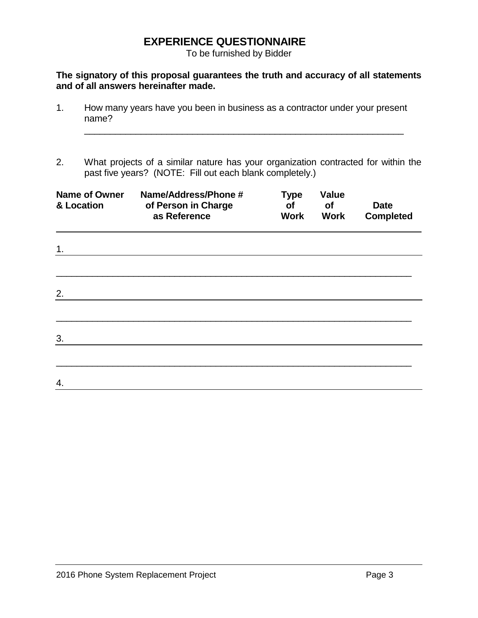# **EXPERIENCE QUESTIONNAIRE**

To be furnished by Bidder

## **The signatory of this proposal guarantees the truth and accuracy of all statements and of all answers hereinafter made.**

- 1. How many years have you been in business as a contractor under your present name?
- 2. What projects of a similar nature has your organization contracted for within the past five years? (NOTE: Fill out each blank completely.)

\_\_\_\_\_\_\_\_\_\_\_\_\_\_\_\_\_\_\_\_\_\_\_\_\_\_\_\_\_\_\_\_\_\_\_\_\_\_\_\_\_\_\_\_\_\_\_\_\_\_\_\_\_\_\_\_\_\_\_\_\_\_

| <b>Name of Owner</b><br>& Location | Name/Address/Phone #<br>of Person in Charge<br>as Reference | <b>Type</b><br>of<br>Work | <b>Value</b><br>of<br><b>Work</b> | <b>Date</b><br><b>Completed</b> |
|------------------------------------|-------------------------------------------------------------|---------------------------|-----------------------------------|---------------------------------|
| 1.                                 |                                                             |                           |                                   |                                 |
|                                    |                                                             |                           |                                   |                                 |
| 2.                                 |                                                             |                           |                                   |                                 |
|                                    |                                                             |                           |                                   |                                 |
| 3.                                 |                                                             |                           |                                   |                                 |
|                                    |                                                             |                           |                                   |                                 |
| 4.                                 |                                                             |                           |                                   |                                 |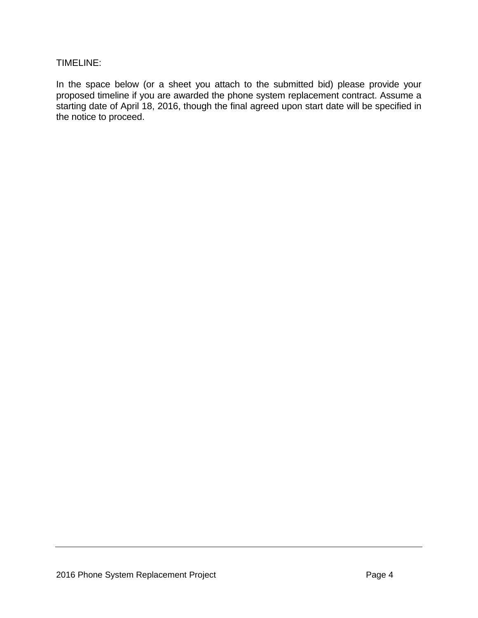## TIMELINE:

In the space below (or a sheet you attach to the submitted bid) please provide your proposed timeline if you are awarded the phone system replacement contract. Assume a starting date of April 18, 2016, though the final agreed upon start date will be specified in the notice to proceed.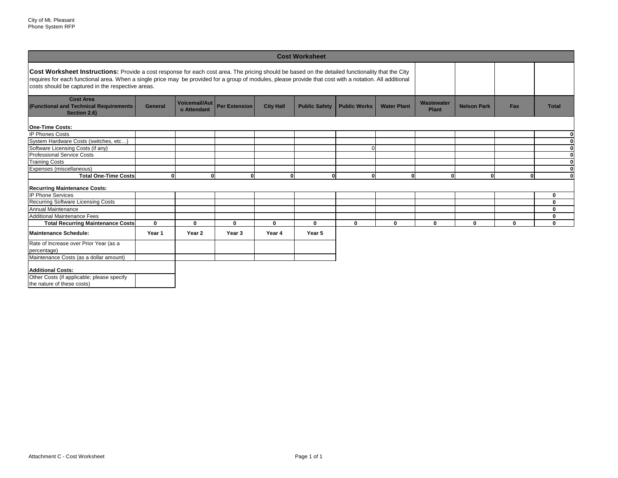| <b>Cost Worksheet</b>                                                                                                                                                                                                                                                                                                                                                   |                |                                     |                      |                  |                      |                     |                    |                                   |                    |              |                            |
|-------------------------------------------------------------------------------------------------------------------------------------------------------------------------------------------------------------------------------------------------------------------------------------------------------------------------------------------------------------------------|----------------|-------------------------------------|----------------------|------------------|----------------------|---------------------|--------------------|-----------------------------------|--------------------|--------------|----------------------------|
| <b>Cost Worksheet Instructions:</b> Provide a cost response for each cost area. The pricing should be based on the detailed functionality that the City<br>requires for each functional area. When a single price may be provided for a group of modules, please provide that cost with a notation. All additional<br>costs should be captured in the respective areas. |                |                                     |                      |                  |                      |                     |                    |                                   |                    |              |                            |
| <b>Cost Area</b><br>(Functional and Technical Requirements -<br>Section 2.6)                                                                                                                                                                                                                                                                                            | <b>General</b> | <b>Voicemail/Aut</b><br>o Attendant | <b>Per Extension</b> | <b>City Hall</b> | <b>Public Safety</b> | <b>Public Works</b> | <b>Water Plant</b> | <b>Wastewater</b><br><b>Plant</b> | <b>Nelson Park</b> | Fax          | <b>Total</b>               |
| <b>One-Time Costs:</b>                                                                                                                                                                                                                                                                                                                                                  |                |                                     |                      |                  |                      |                     |                    |                                   |                    |              |                            |
| <b>IP Phones Costs</b>                                                                                                                                                                                                                                                                                                                                                  |                |                                     |                      |                  |                      |                     |                    |                                   |                    |              | 0                          |
| System Hardware Costs (switches, etc                                                                                                                                                                                                                                                                                                                                    |                |                                     |                      |                  |                      |                     |                    |                                   |                    |              | $\mathbf 0$                |
| Software Licensing Costs (if any)                                                                                                                                                                                                                                                                                                                                       |                |                                     |                      |                  |                      |                     |                    |                                   |                    |              | $\bf{0}$                   |
| <b>Professional Service Costs</b>                                                                                                                                                                                                                                                                                                                                       |                |                                     |                      |                  |                      |                     |                    |                                   |                    |              | $\pmb{0}$                  |
| Training Costs                                                                                                                                                                                                                                                                                                                                                          |                |                                     |                      |                  |                      |                     |                    |                                   |                    |              | $\mathbf 0$                |
| Expenses (miscellaneous)                                                                                                                                                                                                                                                                                                                                                |                |                                     |                      |                  |                      |                     |                    |                                   |                    |              | $\bf{0}$                   |
| <b>Total One-Time Costs</b>                                                                                                                                                                                                                                                                                                                                             |                | 0l<br>ΩL                            | 0                    | 0                | 0l                   | $\mathbf{0}$        | 0l                 | 0                                 | 0                  | $\mathbf{0}$ | $\mathbf 0$                |
|                                                                                                                                                                                                                                                                                                                                                                         |                |                                     |                      |                  |                      |                     |                    |                                   |                    |              |                            |
| <b>Recurring Maintenance Costs:</b>                                                                                                                                                                                                                                                                                                                                     |                |                                     |                      |                  |                      |                     |                    |                                   |                    |              |                            |
| <b>IP Phone Services</b>                                                                                                                                                                                                                                                                                                                                                |                |                                     |                      |                  |                      |                     |                    |                                   |                    |              | $\mathbf 0$                |
| <b>Recurring Software Licensing Costs</b>                                                                                                                                                                                                                                                                                                                               |                |                                     |                      |                  |                      |                     |                    |                                   |                    |              | $\mathbf 0$                |
| Annual Maintenance<br>Additional Maintenance Fees                                                                                                                                                                                                                                                                                                                       |                |                                     |                      |                  |                      |                     |                    |                                   |                    |              | $\mathbf 0$                |
|                                                                                                                                                                                                                                                                                                                                                                         | $\mathbf 0$    | $\bf{0}$                            | $\mathbf 0$          | $\bf{0}$         | $\mathbf 0$          | $\mathbf 0$         |                    | $\mathbf 0$                       |                    | $\bf{0}$     | $\mathbf 0$<br>$\mathbf 0$ |
| <b>Total Recurring Maintenance Costs</b>                                                                                                                                                                                                                                                                                                                                |                |                                     |                      |                  |                      |                     | $\mathbf 0$        |                                   | $\mathbf 0$        |              |                            |
| Maintenance Schedule:                                                                                                                                                                                                                                                                                                                                                   | Year 1         | Year 2                              | Year <sub>3</sub>    | Year 4           | Year 5               |                     |                    |                                   |                    |              |                            |
| Rate of Increase over Prior Year (as a                                                                                                                                                                                                                                                                                                                                  |                |                                     |                      |                  |                      |                     |                    |                                   |                    |              |                            |
| percentage)                                                                                                                                                                                                                                                                                                                                                             |                |                                     |                      |                  |                      |                     |                    |                                   |                    |              |                            |
| Maintenance Costs (as a dollar amount)                                                                                                                                                                                                                                                                                                                                  |                |                                     |                      |                  |                      |                     |                    |                                   |                    |              |                            |
|                                                                                                                                                                                                                                                                                                                                                                         |                |                                     |                      |                  |                      |                     |                    |                                   |                    |              |                            |
| <b>Additional Costs:</b>                                                                                                                                                                                                                                                                                                                                                |                |                                     |                      |                  |                      |                     |                    |                                   |                    |              |                            |
| Other Costs (if applicable; please specify                                                                                                                                                                                                                                                                                                                              |                |                                     |                      |                  |                      |                     |                    |                                   |                    |              |                            |
| the nature of these costs)                                                                                                                                                                                                                                                                                                                                              |                |                                     |                      |                  |                      |                     |                    |                                   |                    |              |                            |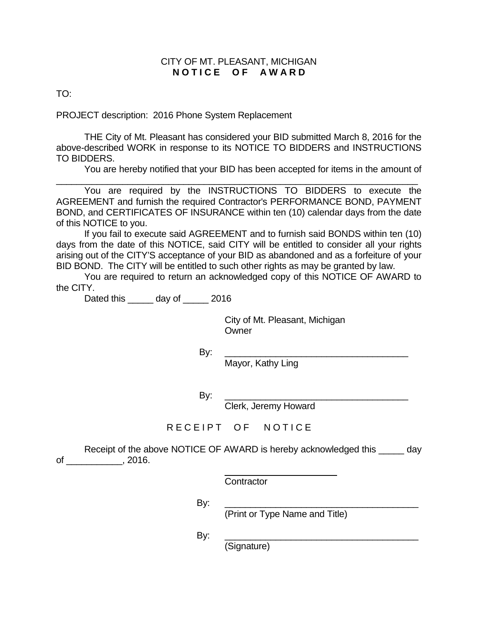## CITY OF MT. PLEASANT, MICHIGAN **N O T I C E O F A W A R D**

TO:

PROJECT description: 2016 Phone System Replacement

THE City of Mt. Pleasant has considered your BID submitted March 8, 2016 for the above-described WORK in response to its NOTICE TO BIDDERS and INSTRUCTIONS TO BIDDERS.

You are hereby notified that your BID has been accepted for items in the amount of

\_\_\_\_\_\_\_\_\_\_\_\_\_\_\_\_\_\_\_\_\_\_\_\_\_\_\_\_\_\_\_\_\_\_\_\_\_\_\_\_\_\_\_\_\_\_\_\_\_\_\_\_\_\_\_\_\_\_\_\_\_\_\_\_\_\_\_\_\_\_\_ You are required by the INSTRUCTIONS TO BIDDERS to execute the AGREEMENT and furnish the required Contractor's PERFORMANCE BOND, PAYMENT BOND, and CERTIFICATES OF INSURANCE within ten (10) calendar days from the date of this NOTICE to you.

If you fail to execute said AGREEMENT and to furnish said BONDS within ten (10) days from the date of this NOTICE, said CITY will be entitled to consider all your rights arising out of the CITY'S acceptance of your BID as abandoned and as a forfeiture of your BID BOND. The CITY will be entitled to such other rights as may be granted by law.

You are required to return an acknowledged copy of this NOTICE OF AWARD to the CITY.

Dated this \_\_\_\_\_ day of \_\_\_\_\_ 2016

City of Mt. Pleasant, Michigan **Owner** 

By: \_\_\_\_\_\_\_\_\_\_\_\_\_\_\_\_\_\_\_\_\_\_\_\_\_\_\_\_\_\_\_\_\_\_\_\_

Mayor, Kathy Ling

By: \_\_\_\_\_\_\_\_\_\_\_\_\_\_\_\_\_\_\_\_\_\_\_\_\_\_\_\_\_\_\_\_\_\_\_\_

Clerk, Jeremy Howard

RECEIPT OF NOTICE

Receipt of the above NOTICE OF AWARD is hereby acknowledged this \_\_\_\_\_ day of \_\_\_\_\_\_\_\_\_\_\_, 2016.

**Contractor** 

By: \_\_\_\_\_\_\_\_\_\_\_\_\_\_\_\_\_\_\_\_\_\_\_\_\_\_\_\_\_\_\_\_\_\_\_\_\_\_

(Print or Type Name and Title)

By: \_\_\_\_\_\_\_\_\_\_\_\_\_\_\_\_\_\_\_\_\_\_\_\_\_\_\_\_\_\_\_\_\_\_\_\_\_\_

(Signature)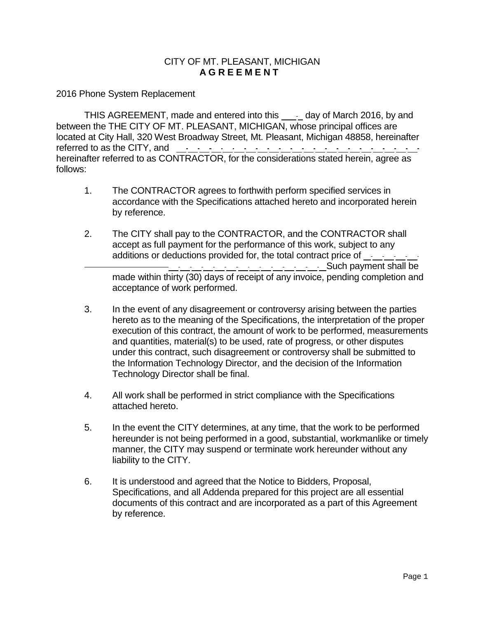## CITY OF MT. PLEASANT, MICHIGAN **A G R E E M E N T**

2016 Phone System Replacement

THIS AGREEMENT, made and entered into this \_\_\_\_\_ day of March 2016, by and between the THE CITY OF MT. PLEASANT, MICHIGAN, whose principal offices are located at City Hall, 320 West Broadway Street, Mt. Pleasant, Michigan 48858, hereinafter referred to as the CITY, and hereinafter referred to as CONTRACTOR, for the considerations stated herein, agree as follows:

- 1. The CONTRACTOR agrees to forthwith perform specified services in accordance with the Specifications attached hereto and incorporated herein by reference.
- 2. The CITY shall pay to the CONTRACTOR, and the CONTRACTOR shall accept as full payment for the performance of this work, subject to any additions or deductions provided for, the total contract price of Such payment shall be made within thirty (30) days of receipt of any invoice, pending completion and acceptance of work performed.
- 3. In the event of any disagreement or controversy arising between the parties hereto as to the meaning of the Specifications, the interpretation of the proper execution of this contract, the amount of work to be performed, measurements and quantities, material(s) to be used, rate of progress, or other disputes under this contract, such disagreement or controversy shall be submitted to the Information Technology Director, and the decision of the Information Technology Director shall be final.
- 4. All work shall be performed in strict compliance with the Specifications attached hereto.
- 5. In the event the CITY determines, at any time, that the work to be performed hereunder is not being performed in a good, substantial, workmanlike or timely manner, the CITY may suspend or terminate work hereunder without any liability to the CITY.
- 6. It is understood and agreed that the Notice to Bidders, Proposal, Specifications, and all Addenda prepared for this project are all essential documents of this contract and are incorporated as a part of this Agreement by reference.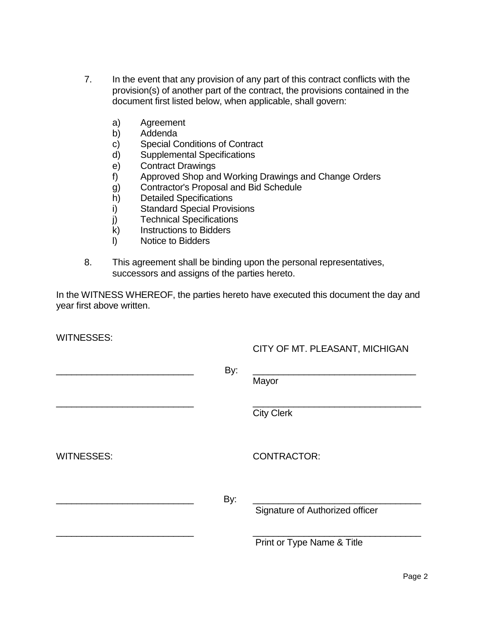- 7. In the event that any provision of any part of this contract conflicts with the provision(s) of another part of the contract, the provisions contained in the document first listed below, when applicable, shall govern:
	- a) Agreement
	- b) Addenda
	- c) Special Conditions of Contract
	- d) Supplemental Specifications
	- e) Contract Drawings
	- f) Approved Shop and Working Drawings and Change Orders
	- g) Contractor's Proposal and Bid Schedule
	- h) Detailed Specifications
	- i) Standard Special Provisions<br>j) Technical Specifications
	- **Technical Specifications**
	- k) Instructions to Bidders
	- l) Notice to Bidders
- 8. This agreement shall be binding upon the personal representatives, successors and assigns of the parties hereto.

In the WITNESS WHEREOF, the parties hereto have executed this document the day and year first above written.

WITNESSES:

# CITY OF MT. PLEASANT, MICHIGAN

|                   | By: | Mayor                           |
|-------------------|-----|---------------------------------|
|                   |     | <b>City Clerk</b>               |
| <b>WITNESSES:</b> |     | <b>CONTRACTOR:</b>              |
|                   | By: | Signature of Authorized officer |
|                   |     | Print or Type Name & Title      |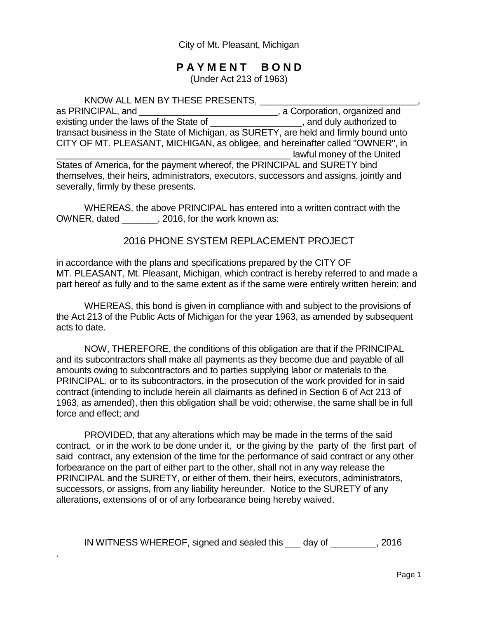City of Mt. Pleasant, Michigan

# **P A Y M E N T B O N D**

(Under Act 213 of 1963)

KNOW ALL MEN BY THESE PRESENTS, \_\_\_\_\_\_\_\_\_\_\_\_\_\_\_\_\_\_\_\_\_\_\_\_\_\_\_\_\_\_\_,

as PRINCIPAL, and \_\_\_\_\_\_\_\_\_\_\_\_\_\_\_\_\_\_\_\_\_\_\_\_\_\_\_\_\_\_, a Corporation, organized and existing under the laws of the State of \_\_\_\_\_\_\_\_\_\_\_\_\_\_\_\_\_\_\_\_, and duly authorized to transact business in the State of Michigan, as SURETY, are held and firmly bound unto CITY OF MT. PLEASANT, MICHIGAN, as obligee, and hereinafter called "OWNER", in \_\_\_\_\_\_\_\_\_\_\_\_\_\_\_\_\_\_\_\_\_\_\_\_\_\_\_\_\_\_\_\_\_\_\_\_\_\_\_\_\_\_\_\_\_\_ lawful money of the United States of America, for the payment whereof, the PRINCIPAL and SURETY bind themselves, their heirs, administrators, executors, successors and assigns, jointly and severally, firmly by these presents.

WHEREAS, the above PRINCIPAL has entered into a written contract with the OWNER, dated \_\_\_\_\_\_\_, 2016, for the work known as:

# 2016 PHONE SYSTEM REPLACEMENT PROJECT

in accordance with the plans and specifications prepared by the CITY OF MT. PLEASANT, Mt. Pleasant, Michigan, which contract is hereby referred to and made a part hereof as fully and to the same extent as if the same were entirely written herein; and

WHEREAS, this bond is given in compliance with and subject to the provisions of the Act 213 of the Public Acts of Michigan for the year 1963, as amended by subsequent acts to date.

NOW, THEREFORE, the conditions of this obligation are that if the PRINCIPAL and its subcontractors shall make all payments as they become due and payable of all amounts owing to subcontractors and to parties supplying labor or materials to the PRINCIPAL, or to its subcontractors, in the prosecution of the work provided for in said contract (intending to include herein all claimants as defined in Section 6 of Act 213 of 1963, as amended), then this obligation shall be void; otherwise, the same shall be in full force and effect; and

PROVIDED, that any alterations which may be made in the terms of the said contract, or in the work to be done under it, or the giving by the party of the first part of said contract, any extension of the time for the performance of said contract or any other forbearance on the part of either part to the other, shall not in any way release the PRINCIPAL and the SURETY, or either of them, their heirs, executors, administrators, successors, or assigns, from any liability hereunder. Notice to the SURETY of any alterations, extensions of or of any forbearance being hereby waived.

IN WITNESS WHEREOF, signed and sealed this \_\_\_ day of \_\_\_\_\_\_\_\_\_, 2016

.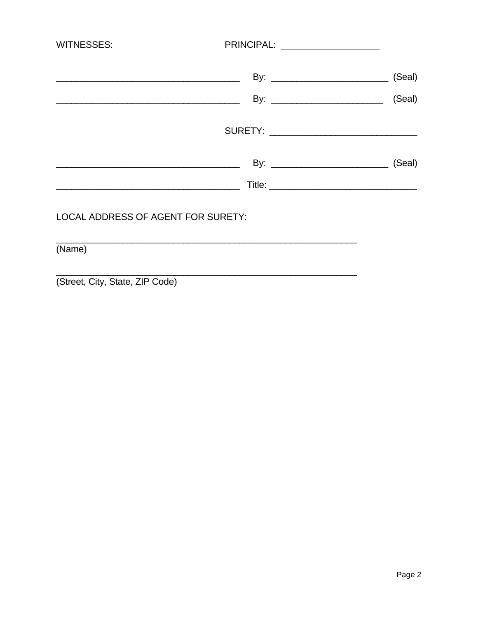| <b>WITNESSES:</b>                                                                                                    | PRINCIPAL: ___________________ |        |
|----------------------------------------------------------------------------------------------------------------------|--------------------------------|--------|
| <u> 1989 - Johann John Stein, markin fan it ferstjer fan it ferstjer fan it ferstjer fan it ferstjer fan it fers</u> |                                | (Seal) |
|                                                                                                                      |                                | (Seal) |
|                                                                                                                      |                                |        |
| <u> 1990 - Johann John Harry Harry Harry Harry Harry Harry Harry Harry Harry Harry Harry Harry Harry Harry Harry</u> |                                | (Seal) |
| <u> 2000 - Jan James James Barnett, amerikan personal (</u>                                                          |                                |        |
| LOCAL ADDRESS OF AGENT FOR SURETY:                                                                                   |                                |        |

(Name)

(Street, City, State, ZIP Code)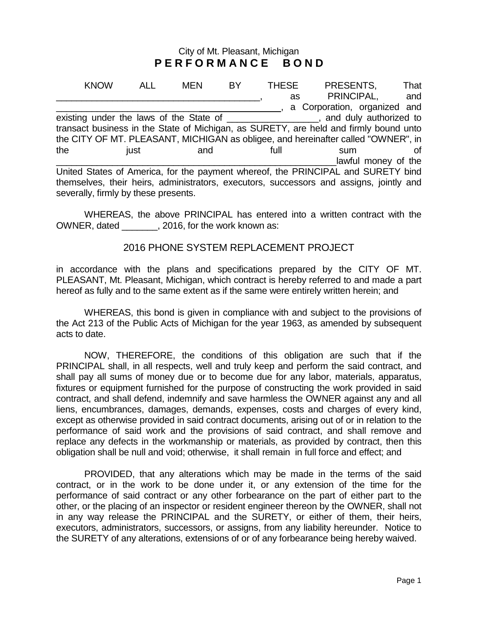## City of Mt. Pleasant, Michigan **P E R F O R M A N C E B O N D**

KNOW ALL MEN BY THESE PRESENTS, That as PRINCIPAL, and \_\_\_\_\_\_\_\_\_\_\_\_\_\_\_\_\_\_\_\_\_\_\_\_\_\_\_\_ , a Corporation, organized and existing under the laws of the State of \_\_\_\_\_\_\_\_\_\_\_\_\_\_\_\_\_\_\_, and duly authorized to transact business in the State of Michigan, as SURETY, are held and firmly bound unto the CITY OF MT. PLEASANT, MICHIGAN as obligee, and hereinafter called "OWNER", in the iust and full sum of lawful money of the United States of America, for the payment whereof, the PRINCIPAL and SURETY bind themselves, their heirs, administrators, executors, successors and assigns, jointly and severally, firmly by these presents.

WHEREAS, the above PRINCIPAL has entered into a written contract with the OWNER, dated \_\_\_\_\_\_\_, 2016, for the work known as:

## 2016 PHONE SYSTEM REPLACEMENT PROJECT

in accordance with the plans and specifications prepared by the CITY OF MT. PLEASANT, Mt. Pleasant, Michigan, which contract is hereby referred to and made a part hereof as fully and to the same extent as if the same were entirely written herein; and

WHEREAS, this bond is given in compliance with and subject to the provisions of the Act 213 of the Public Acts of Michigan for the year 1963, as amended by subsequent acts to date.

NOW, THEREFORE, the conditions of this obligation are such that if the PRINCIPAL shall, in all respects, well and truly keep and perform the said contract, and shall pay all sums of money due or to become due for any labor, materials, apparatus, fixtures or equipment furnished for the purpose of constructing the work provided in said contract, and shall defend, indemnify and save harmless the OWNER against any and all liens, encumbrances, damages, demands, expenses, costs and charges of every kind, except as otherwise provided in said contract documents, arising out of or in relation to the performance of said work and the provisions of said contract, and shall remove and replace any defects in the workmanship or materials, as provided by contract, then this obligation shall be null and void; otherwise, it shall remain in full force and effect; and

PROVIDED, that any alterations which may be made in the terms of the said contract, or in the work to be done under it, or any extension of the time for the performance of said contract or any other forbearance on the part of either part to the other, or the placing of an inspector or resident engineer thereon by the OWNER, shall not in any way release the PRINCIPAL and the SURETY, or either of them, their heirs, executors, administrators, successors, or assigns, from any liability hereunder. Notice to the SURETY of any alterations, extensions of or of any forbearance being hereby waived.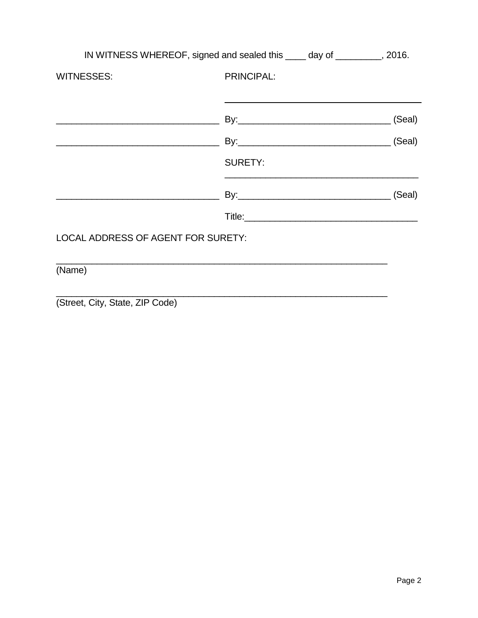|                                    | IN WITNESS WHEREOF, signed and sealed this _____ day of __________, 2016. |        |
|------------------------------------|---------------------------------------------------------------------------|--------|
| <b>WITNESSES:</b>                  | <b>PRINCIPAL:</b>                                                         |        |
|                                    |                                                                           |        |
|                                    |                                                                           | (Seal) |
|                                    | By: (Seal)                                                                |        |
|                                    | <b>SURETY:</b>                                                            |        |
|                                    |                                                                           | (Seal) |
|                                    |                                                                           |        |
| LOCAL ADDRESS OF AGENT FOR SURETY: |                                                                           |        |
| (Name)                             |                                                                           |        |

(Street, City, State, ZIP Code)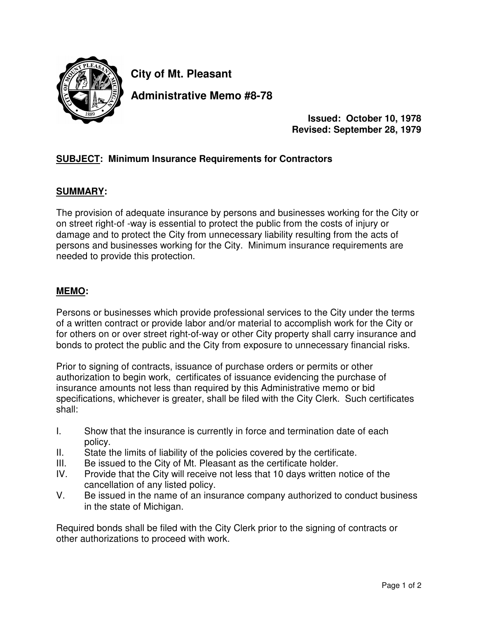

**City of Mt. Pleasant**

**Administrative Memo #8-78**

**Issued: October 10, 1978 Revised: September 28, 1979**

# **SUBJECT: Minimum Insurance Requirements for Contractors**

## **SUMMARY:**

The provision of adequate insurance by persons and businesses working for the City or on street right-of -way is essential to protect the public from the costs of injury or damage and to protect the City from unnecessary liability resulting from the acts of persons and businesses working for the City. Minimum insurance requirements are needed to provide this protection.

## **MEMO:**

Persons or businesses which provide professional services to the City under the terms of a written contract or provide labor and/or material to accomplish work for the City or for others on or over street right-of-way or other City property shall carry insurance and bonds to protect the public and the City from exposure to unnecessary financial risks.

Prior to signing of contracts, issuance of purchase orders or permits or other authorization to begin work, certificates of issuance evidencing the purchase of insurance amounts not less than required by this Administrative memo or bid specifications, whichever is greater, shall be filed with the City Clerk. Such certificates shall:

- I. Show that the insurance is currently in force and termination date of each policy.
- II. State the limits of liability of the policies covered by the certificate.
- III. Be issued to the City of Mt. Pleasant as the certificate holder.
- IV. Provide that the City will receive not less that 10 days written notice of the cancellation of any listed policy.
- V. Be issued in the name of an insurance company authorized to conduct business in the state of Michigan.

Required bonds shall be filed with the City Clerk prior to the signing of contracts or other authorizations to proceed with work.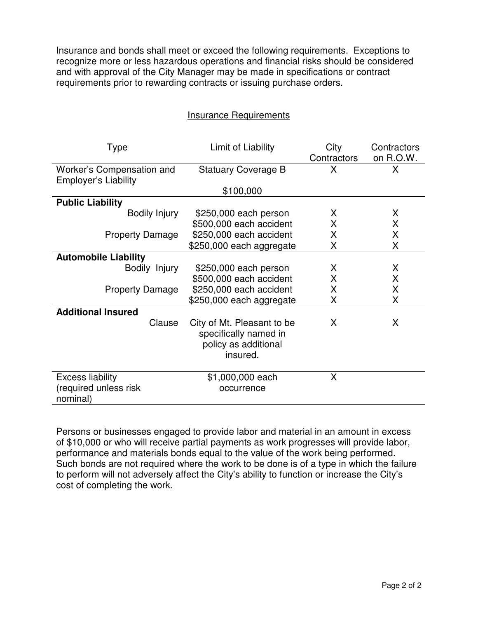Insurance and bonds shall meet or exceed the following requirements. Exceptions to recognize more or less hazardous operations and financial risks should be considered and with approval of the City Manager may be made in specifications or contract requirements prior to rewarding contracts or issuing purchase orders.

| <b>Insurance Requirements</b> |
|-------------------------------|
|-------------------------------|

| <b>Type</b>                                              | Limit of Liability                                                                      | City<br>Contractors | Contractors<br>on R.O.W. |  |
|----------------------------------------------------------|-----------------------------------------------------------------------------------------|---------------------|--------------------------|--|
| Worker's Compensation and<br><b>Employer's Liability</b> | <b>Statuary Coverage B</b>                                                              | Χ                   | X                        |  |
|                                                          | \$100,000                                                                               |                     |                          |  |
| <b>Public Liability</b>                                  |                                                                                         |                     |                          |  |
| Bodily Injury                                            | \$250,000 each person                                                                   | X                   | X                        |  |
|                                                          | \$500,000 each accident                                                                 | X                   | X                        |  |
| <b>Property Damage</b>                                   | \$250,000 each accident                                                                 | X                   | X                        |  |
|                                                          | \$250,000 each aggregate                                                                | Χ                   | X                        |  |
| <b>Automobile Liability</b>                              |                                                                                         |                     |                          |  |
| Bodily Injury                                            | \$250,000 each person                                                                   | X                   | X                        |  |
|                                                          | \$500,000 each accident                                                                 | X                   | X                        |  |
| <b>Property Damage</b>                                   | \$250,000 each accident                                                                 | X                   | X                        |  |
|                                                          | \$250,000 each aggregate                                                                | X                   | X                        |  |
| <b>Additional Insured</b>                                |                                                                                         |                     |                          |  |
| Clause                                                   | City of Mt. Pleasant to be<br>specifically named in<br>policy as additional<br>insured. | X                   | X                        |  |
| <b>Excess liability</b><br>(required unless risk         | \$1,000,000 each<br>occurrence                                                          | X                   |                          |  |
| nominal)                                                 |                                                                                         |                     |                          |  |

Persons or businesses engaged to provide labor and material in an amount in excess of \$10,000 or who will receive partial payments as work progresses will provide labor, performance and materials bonds equal to the value of the work being performed. Such bonds are not required where the work to be done is of a type in which the failure to perform will not adversely affect the City's ability to function or increase the City's cost of completing the work.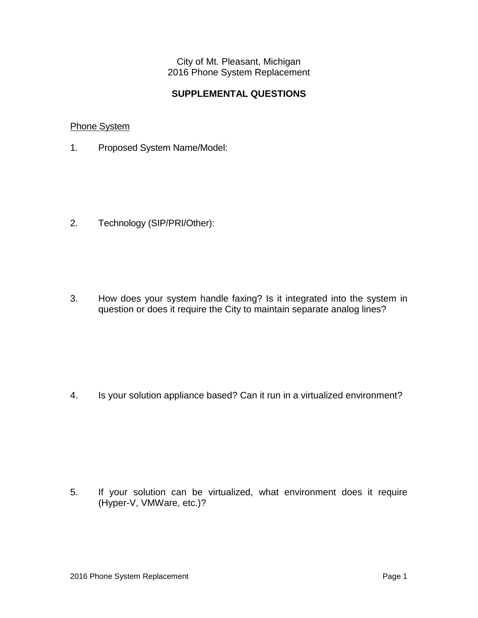City of Mt. Pleasant, Michigan 2016 Phone System Replacement

## **SUPPLEMENTAL QUESTIONS**

## Phone System

1. Proposed System Name/Model:

2. Technology (SIP/PRI/Other):

3. How does your system handle faxing? Is it integrated into the system in question or does it require the City to maintain separate analog lines?

4. Is your solution appliance based? Can it run in a virtualized environment?

5. If your solution can be virtualized, what environment does it require (Hyper-V, VMWare, etc.)?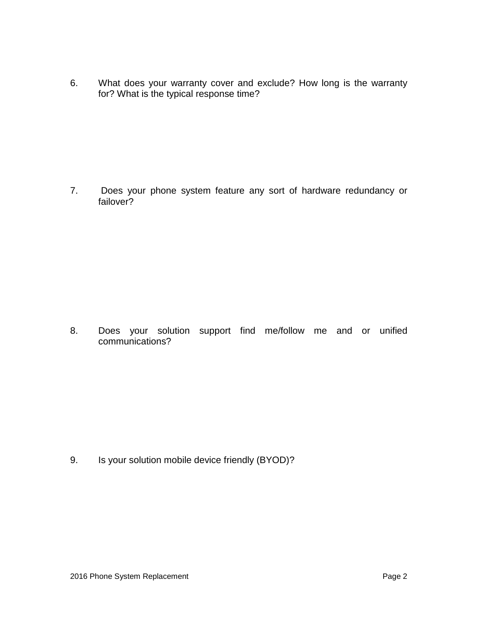6. What does your warranty cover and exclude? How long is the warranty for? What is the typical response time?

7. Does your phone system feature any sort of hardware redundancy or failover?

8. Does your solution support find me/follow me and or unified communications?

9. Is your solution mobile device friendly (BYOD)?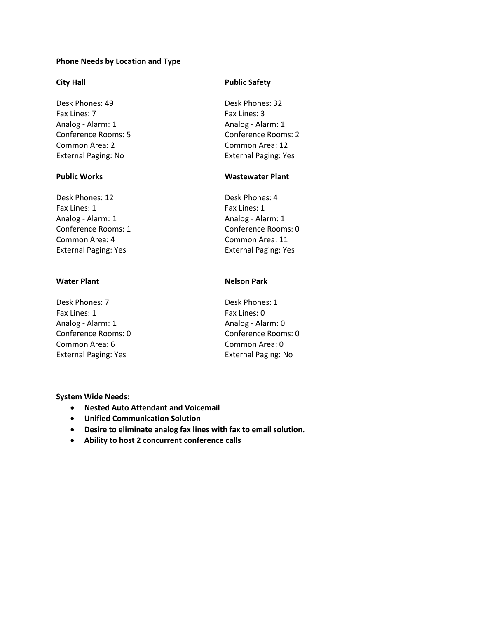## **Phone Needs by Location and Type**

Desk Phones: 49 Desk Phones: 32 Fax Lines: 7 Fax Lines: 3 Analog - Alarm: 1 Analog - Alarm: 1 Conference Rooms: 5 Conference Rooms: 2 Common Area: 2 Common Area: 12 External Paging: No External Paging: Yes

Desk Phones: 12 Desk Phones: 4 Fax Lines: 1 Fax Lines: 1 Analog - Alarm: 1 Analog - Alarm: 1 Common Area: 4 Common Area: 11

Desk Phones: 7 Desk Phones: 1 Fax Lines: 1 Fax Lines: 0 Analog - Alarm: 1 Analog - Alarm: 0 Common Area: 6 Common Area: 0 External Paging: Yes External Paging: No

## **City Hall Public Safety**

## **Public Works Wastewater Plant**

Conference Rooms: 1 Conference Rooms: 0 External Paging: Yes External Paging: Yes

## **Water Plant Nelson Park**

Conference Rooms: 0 Conference Rooms: 0

### **System Wide Needs:**

- **Nested Auto Attendant and Voicemail**
- **Unified Communication Solution**
- **Desire to eliminate analog fax lines with fax to email solution.**
- **Ability to host 2 concurrent conference calls**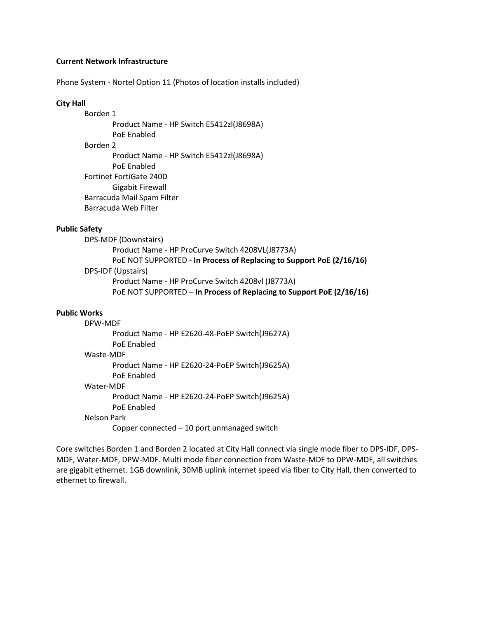### **Current Network Infrastructure**

Phone System - Nortel Option 11 (Photos of location installs included)

### **City Hall**

Borden 1 Product Name - HP Switch E5412zl(J8698A) PoE Enabled Borden 2 Product Name - HP Switch E5412zl(J8698A) PoE Enabled Fortinet FortiGate 240D Gigabit Firewall Barracuda Mail Spam Filter Barracuda Web Filter

## **Public Safety**

DPS-MDF (Downstairs) Product Name - HP ProCurve Switch 4208VL(J8773A) PoE NOT SUPPORTED - **In Process of Replacing to Support PoE (2/16/16)** DPS-IDF (Upstairs) Product Name - HP ProCurve Switch 4208vl (J8773A) PoE NOT SUPPORTED – **In Process of Replacing to Support PoE (2/16/16)**

### **Public Works**

## DPW-MDF Product Name - HP E2620-48-PoEP Switch(J9627A) PoE Enabled Waste-MDF Product Name - HP E2620-24-PoEP Switch(J9625A) PoE Enabled Water-MDF Product Name - HP E2620-24-PoEP Switch(J9625A) PoE Enabled Nelson Park Copper connected – 10 port unmanaged switch

Core switches Borden 1 and Borden 2 located at City Hall connect via single mode fiber to DPS-IDF, DPS-MDF, Water-MDF, DPW-MDF. Multi mode fiber connection from Waste-MDF to DPW-MDF, all switches are gigabit ethernet. 1GB downlink, 30MB uplink internet speed via fiber to City Hall, then converted to ethernet to firewall.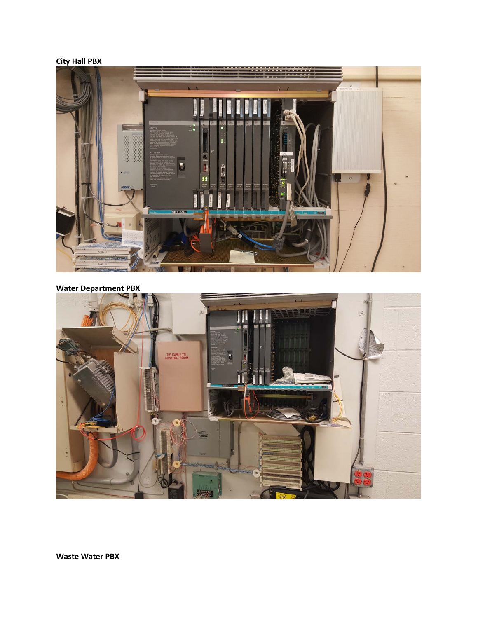## **City Hall PBX**



## **Water Department PBX**



**Waste Water PBX**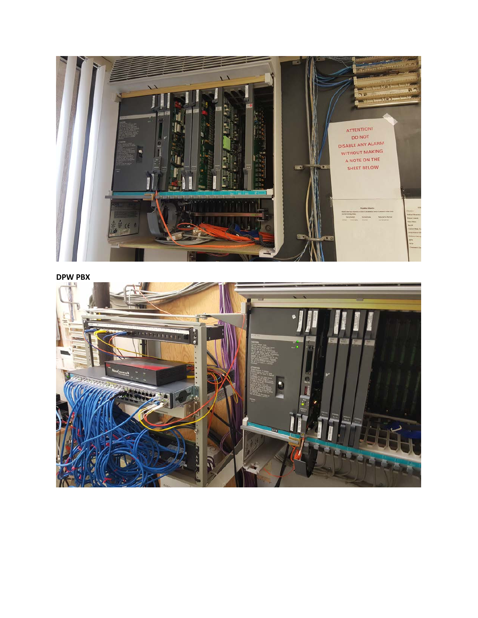

**DPW PBX**

![](_page_27_Picture_2.jpeg)